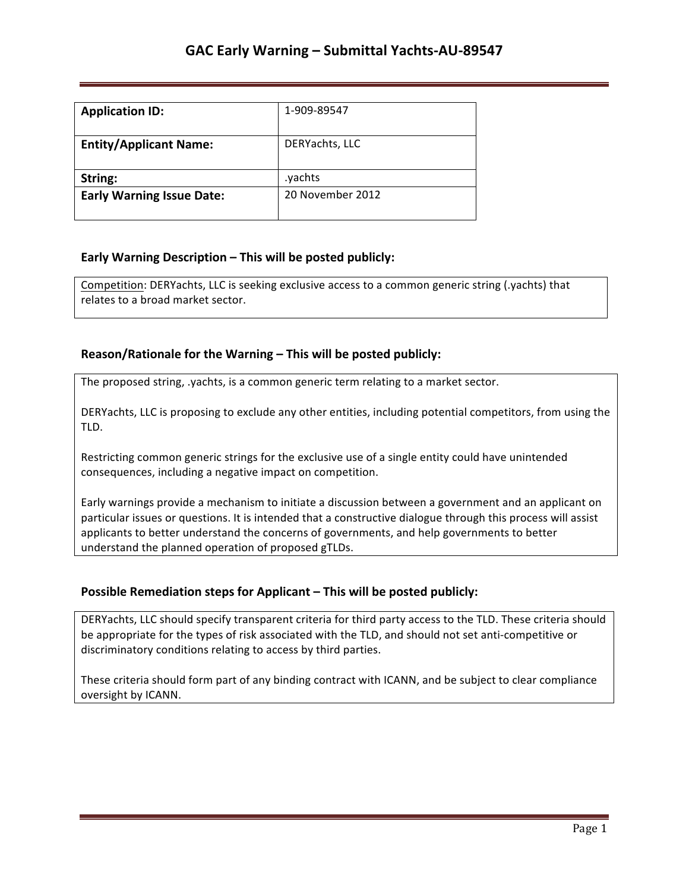| <b>Application ID:</b>           | 1-909-89547      |
|----------------------------------|------------------|
| <b>Entity/Applicant Name:</b>    | DERYachts, LLC   |
| String:                          | .yachts          |
| <b>Early Warning Issue Date:</b> | 20 November 2012 |

### **Early Warning Description – This will be posted publicly:**

Competition: DERYachts, LLC is seeking exclusive access to a common generic string (.yachts) that relates to a broad market sector.

### **Reason/Rationale for the Warning – This will be posted publicly:**

The proposed string, .yachts, is a common generic term relating to a market sector.

DERYachts, LLC is proposing to exclude any other entities, including potential competitors, from using the TLD. 

Restricting common generic strings for the exclusive use of a single entity could have unintended consequences, including a negative impact on competition.

Early warnings provide a mechanism to initiate a discussion between a government and an applicant on particular issues or questions. It is intended that a constructive dialogue through this process will assist applicants to better understand the concerns of governments, and help governments to better understand the planned operation of proposed gTLDs.

### **Possible Remediation steps for Applicant – This will be posted publicly:**

DERYachts, LLC should specify transparent criteria for third party access to the TLD. These criteria should be appropriate for the types of risk associated with the TLD, and should not set anti-competitive or discriminatory conditions relating to access by third parties.

These criteria should form part of any binding contract with ICANN, and be subject to clear compliance oversight by ICANN.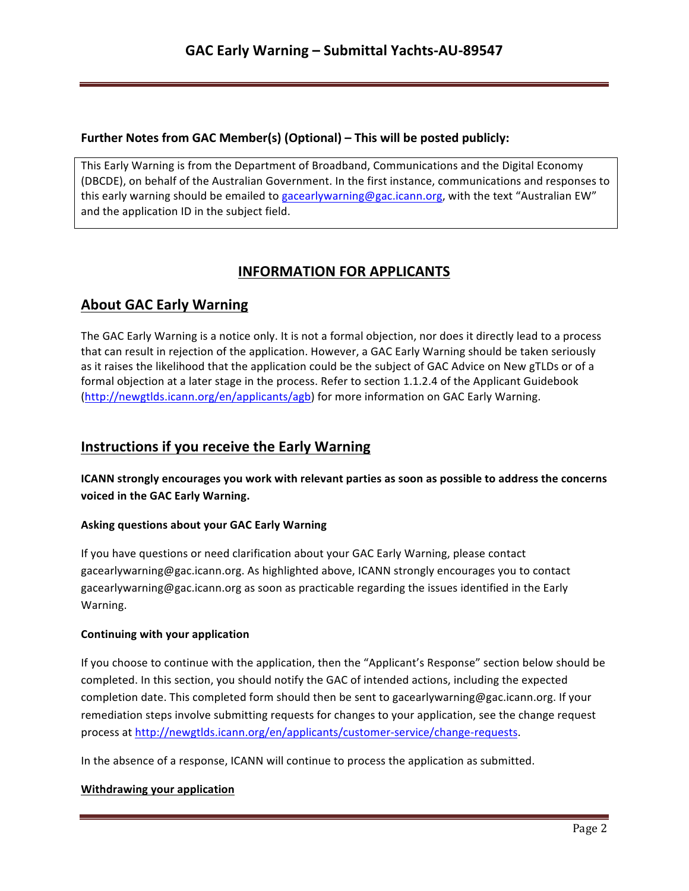## **Further Notes from GAC Member(s) (Optional) – This will be posted publicly:**

This Early Warning is from the Department of Broadband, Communications and the Digital Economy (DBCDE), on behalf of the Australian Government. In the first instance, communications and responses to this early warning should be emailed to gacearlywarning@gac.icann.org, with the text "Australian EW" and the application ID in the subject field.

# **INFORMATION FOR APPLICANTS**

# **About GAC Early Warning**

The GAC Early Warning is a notice only. It is not a formal objection, nor does it directly lead to a process that can result in rejection of the application. However, a GAC Early Warning should be taken seriously as it raises the likelihood that the application could be the subject of GAC Advice on New gTLDs or of a formal objection at a later stage in the process. Refer to section 1.1.2.4 of the Applicant Guidebook (http://newgtlds.icann.org/en/applicants/agb) for more information on GAC Early Warning.

# **Instructions if you receive the Early Warning**

**ICANN** strongly encourages you work with relevant parties as soon as possible to address the concerns voiced in the GAC Early Warning.

### **Asking questions about your GAC Early Warning**

If you have questions or need clarification about your GAC Early Warning, please contact gacearlywarning@gac.icann.org. As highlighted above, ICANN strongly encourages you to contact gacearlywarning@gac.icann.org as soon as practicable regarding the issues identified in the Early Warning. 

### **Continuing with your application**

If you choose to continue with the application, then the "Applicant's Response" section below should be completed. In this section, you should notify the GAC of intended actions, including the expected completion date. This completed form should then be sent to gacearlywarning@gac.icann.org. If your remediation steps involve submitting requests for changes to your application, see the change request process at http://newgtlds.icann.org/en/applicants/customer-service/change-requests.

In the absence of a response, ICANN will continue to process the application as submitted.

### **Withdrawing your application**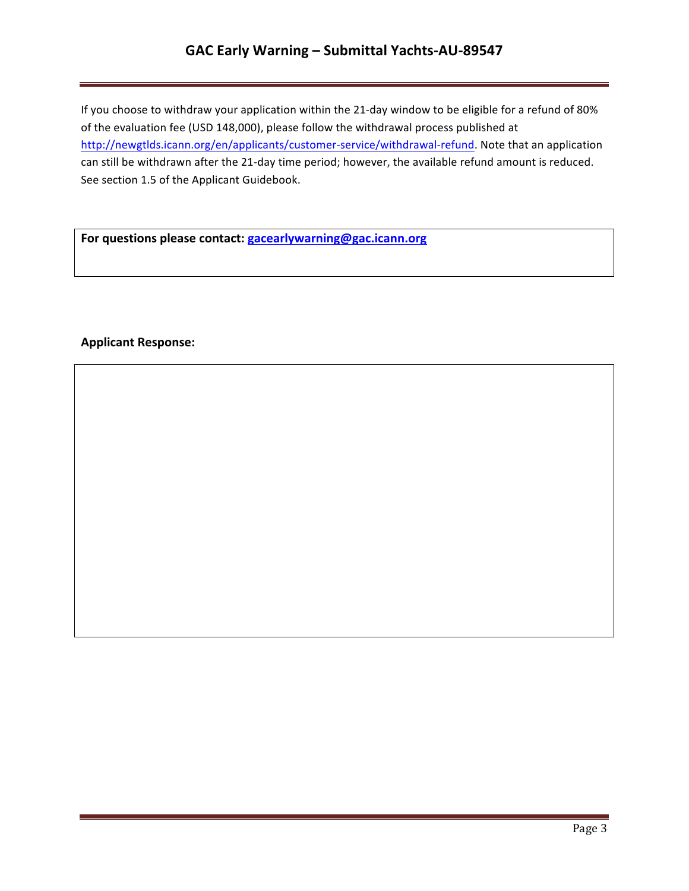# **GAC Early Warning – Submittal Yachts-AU-89547**

If you choose to withdraw your application within the 21-day window to be eligible for a refund of 80% of the evaluation fee (USD 148,000), please follow the withdrawal process published at http://newgtlds.icann.org/en/applicants/customer-service/withdrawal-refund. Note that an application can still be withdrawn after the 21-day time period; however, the available refund amount is reduced. See section 1.5 of the Applicant Guidebook.

For questions please contact: **gacearlywarning@gac.icann.org** 

### **Applicant Response:**